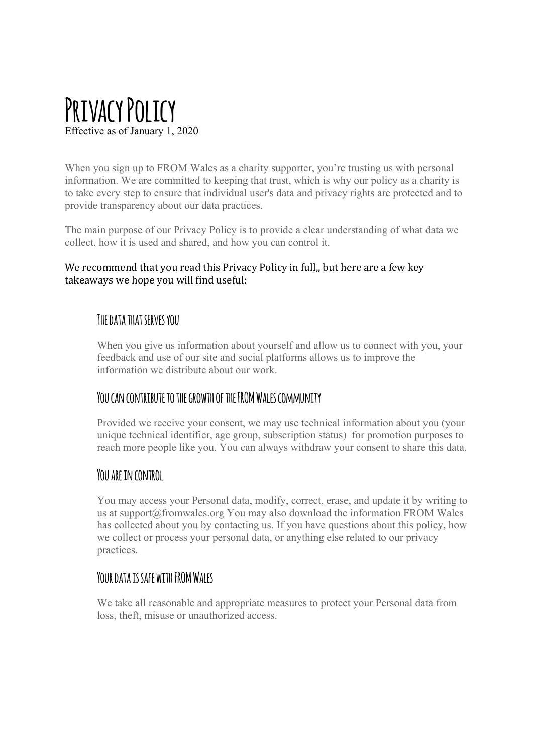# **Privacy Policy** Effective as of January 1, 2020

When you sign up to FROM Wales as a charity supporter, you're trusting us with personal information. We are committed to keeping that trust, which is why our policy as a charity is to take every step to ensure that individual user's data and privacy rights are protected and to provide transparency about our data practices.

The main purpose of our Privacy Policy is to provide a clear understanding of what data we collect, how it is used and shared, and how you can control it.

#### We recommend that you read this Privacy Policy in full,, but here are a few key takeaways we hope you will find useful:

## **The data that serves you**

When you give us information about yourself and allow us to connect with you, your feedback and use of our site and social platforms allows us to improve the information we distribute about our work.

## **You can contribute to the growth of the FROM Wales community**

Provided we receive your consent, we may use technical information about you (your unique technical identifier, age group, subscription status) for promotion purposes to reach more people like you. You can always withdraw your consent to share this data.

## **You are in control**

You may access your Personal data, modify, correct, erase, and update it by writing to us at support@fromwales.org You may also download the information FROM Wales has collected about you by contacting us. If you have questions about this policy, how we collect or process your personal data, or anything else related to our privacy practices.

## **Your data is safe with FROM Wales**

We take all reasonable and appropriate measures to protect your Personal data from loss, theft, misuse or unauthorized access.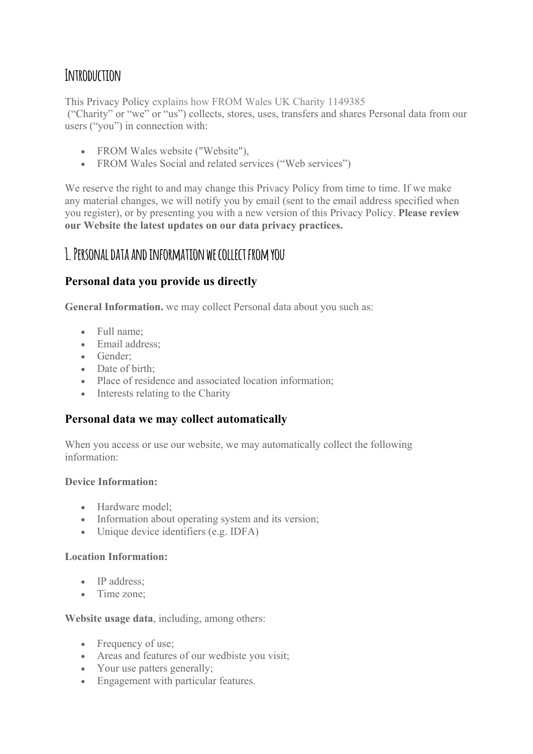# **Introduction**

This Privacy Policy explains how FROM Wales UK Charity 1149385

("Charity" or "we" or "us") collects, stores, uses, transfers and shares Personal data from our users ("you") in connection with:

- FROM Wales website ("Website"),
- FROM Wales Social and related services ("Web services")

We reserve the right to and may change this Privacy Policy from time to time. If we make any material changes, we will notify you by email (sent to the email address specified when you register), or by presenting you with a new version of this Privacy Policy. **Please review our Website the latest updates on our data privacy practices.**

## **1. Personal data and information we collect from you**

## **Personal data you provide us directly**

**General Information.** we may collect Personal data about you such as:

- Full name;
- Email address;
- Gender;
- Date of birth:
- Place of residence and associated location information;
- Interests relating to the Charity

#### **Personal data we may collect automatically**

When you access or use our website, we may automatically collect the following information:

#### **Device Information:**

- Hardware model:
- Information about operating system and its version;
- Unique device identifiers (e.g. IDFA)

#### **Location Information:**

- IP address:
- Time zone:

#### **Website usage data**, including, among others:

- Frequency of use;
- Areas and features of our wedbiste you visit;
- Your use patters generally;
- Engagement with particular features.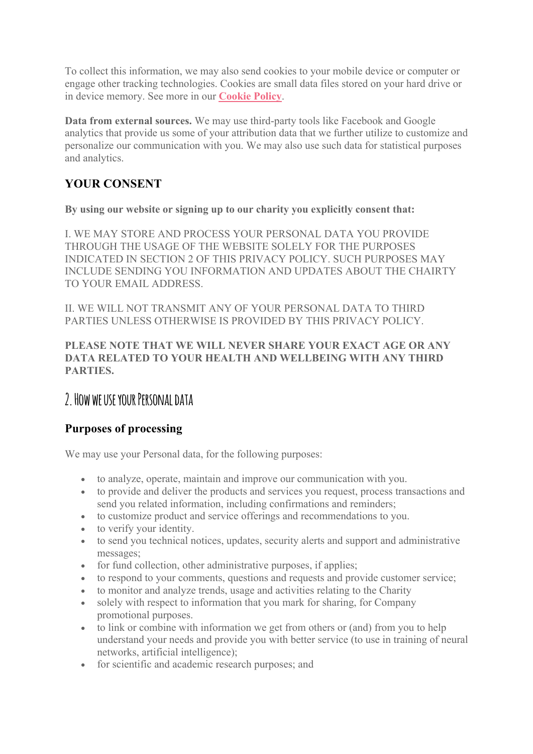To collect this information, we may also send cookies to your mobile device or computer or engage other tracking technologies. Cookies are small data files stored on your hard drive or in device memory. See more in our **Cookie Policy**.

**Data from external sources.** We may use third-party tools like Facebook and Google analytics that provide us some of your attribution data that we further utilize to customize and personalize our communication with you. We may also use such data for statistical purposes and analytics.

## **YOUR CONSENT**

**By using our website or signing up to our charity you explicitly consent that:**

I. WE MAY STORE AND PROCESS YOUR PERSONAL DATA YOU PROVIDE THROUGH THE USAGE OF THE WEBSITE SOLELY FOR THE PURPOSES INDICATED IN SECTION 2 OF THIS PRIVACY POLICY. SUCH PURPOSES MAY INCLUDE SENDING YOU INFORMATION AND UPDATES ABOUT THE CHAIRTY TO YOUR EMAIL ADDRESS.

II. WE WILL NOT TRANSMIT ANY OF YOUR PERSONAL DATA TO THIRD PARTIES UNLESS OTHERWISE IS PROVIDED BY THIS PRIVACY POLICY.

#### **PLEASE NOTE THAT WE WILL NEVER SHARE YOUR EXACT AGE OR ANY DATA RELATED TO YOUR HEALTH AND WELLBEING WITH ANY THIRD PARTIES.**

## **2. How we use your Personal data**

## **Purposes of processing**

We may use your Personal data, for the following purposes:

- to analyze, operate, maintain and improve our communication with you.
- to provide and deliver the products and services you request, process transactions and send you related information, including confirmations and reminders;
- to customize product and service offerings and recommendations to you.
- to verify your identity.
- to send you technical notices, updates, security alerts and support and administrative messages;
- for fund collection, other administrative purposes, if applies;
- to respond to your comments, questions and requests and provide customer service;
- to monitor and analyze trends, usage and activities relating to the Charity
- solely with respect to information that you mark for sharing, for Company promotional purposes.
- to link or combine with information we get from others or (and) from you to help understand your needs and provide you with better service (to use in training of neural networks, artificial intelligence);
- for scientific and academic research purposes; and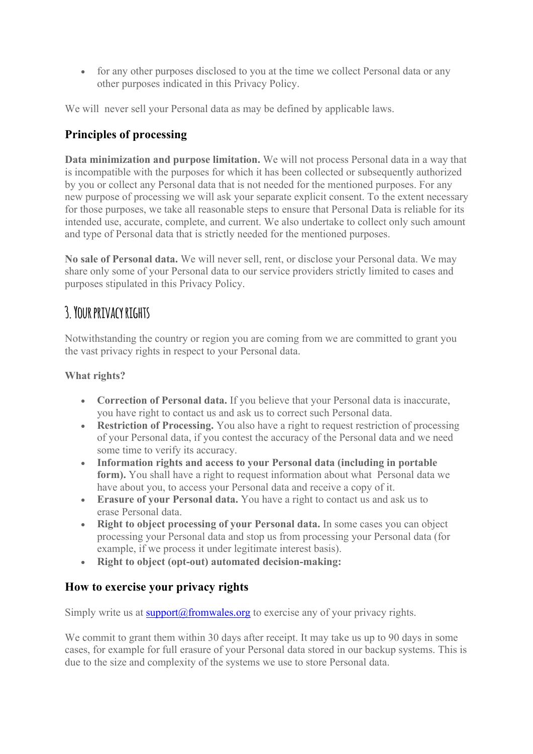• for any other purposes disclosed to you at the time we collect Personal data or any other purposes indicated in this Privacy Policy.

We will never sell your Personal data as may be defined by applicable laws.

## **Principles of processing**

**Data minimization and purpose limitation.** We will not process Personal data in a way that is incompatible with the purposes for which it has been collected or subsequently authorized by you or collect any Personal data that is not needed for the mentioned purposes. For any new purpose of processing we will ask your separate explicit consent. To the extent necessary for those purposes, we take all reasonable steps to ensure that Personal Data is reliable for its intended use, accurate, complete, and current. We also undertake to collect only such amount and type of Personal data that is strictly needed for the mentioned purposes.

**No sale of Personal data.** We will never sell, rent, or disclose your Personal data. We may share only some of your Personal data to our service providers strictly limited to cases and purposes stipulated in this Privacy Policy.

# **3. Your privacy rights**

Notwithstanding the country or region you are coming from we are committed to grant you the vast privacy rights in respect to your Personal data.

#### **What rights?**

- **Correction of Personal data.** If you believe that your Personal data is inaccurate, you have right to contact us and ask us to correct such Personal data.
- **Restriction of Processing.** You also have a right to request restriction of processing of your Personal data, if you contest the accuracy of the Personal data and we need some time to verify its accuracy.
- **Information rights and access to your Personal data (including in portable form).** You shall have a right to request information about what Personal data we have about you, to access your Personal data and receive a copy of it.
- **Erasure of your Personal data.** You have a right to contact us and ask us to erase Personal data.
- **Right to object processing of your Personal data.** In some cases you can object processing your Personal data and stop us from processing your Personal data (for example, if we process it under legitimate interest basis).
- **Right to object (opt-out) automated decision-making:**

#### **How to exercise your privacy rights**

Simply write us at support $\omega$  from wales.org to exercise any of your privacy rights.

We commit to grant them within 30 days after receipt. It may take us up to 90 days in some cases, for example for full erasure of your Personal data stored in our backup systems. This is due to the size and complexity of the systems we use to store Personal data.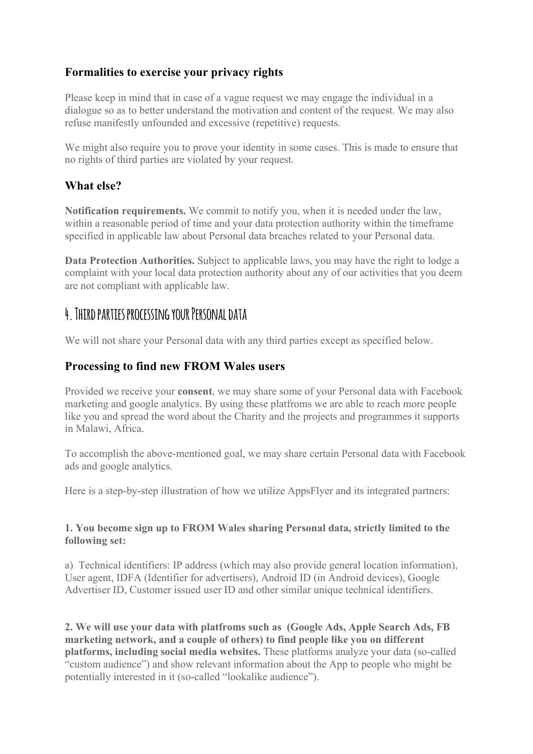### **Formalities to exercise your privacy rights**

Please keep in mind that in case of a vague request we may engage the individual in a dialogue so as to better understand the motivation and content of the request. We may also refuse manifestly unfounded and excessive (repetitive) requests.

We might also require you to prove your identity in some cases. This is made to ensure that no rights of third parties are violated by your request.

#### **What else?**

**Notification requirements.** We commit to notify you, when it is needed under the law, within a reasonable period of time and your data protection authority within the timeframe specified in applicable law about Personal data breaches related to your Personal data.

**Data Protection Authorities.** Subject to applicable laws, you may have the right to lodge a complaint with your local data protection authority about any of our activities that you deem are not compliant with applicable law.

## **4. Third parties processing your Personal data**

We will not share your Personal data with any third parties except as specified below.

#### **Processing to find new FROM Wales users**

Provided we receive your **consent**, we may share some of your Personal data with Facebook marketing and google analytics. By using these platfroms we are able to reach more people like you and spread the word about the Charity and the projects and programmes it supports in Malawi, Africa.

To accomplish the above-mentioned goal, we may share certain Personal data with Facebook ads and google analytics.

Here is a step-by-step illustration of how we utilize AppsFlyer and its integrated partners:

#### **1. You become sign up to FROM Wales sharing Personal data, strictly limited to the following set:**

a) Technical identifiers: IP address (which may also provide general location information), User agent, IDFA (Identifier for advertisers), Android ID (in Android devices), Google Advertiser ID, Customer issued user ID and other similar unique technical identifiers.

**2. We will use your data with platfroms such as (Google Ads, Apple Search Ads, FB marketing network, and a couple of others) to find people like you on different platforms, including social media websites.** These platforms analyze your data (so-called "custom audience") and show relevant information about the App to people who might be potentially interested in it (so-called "lookalike audience").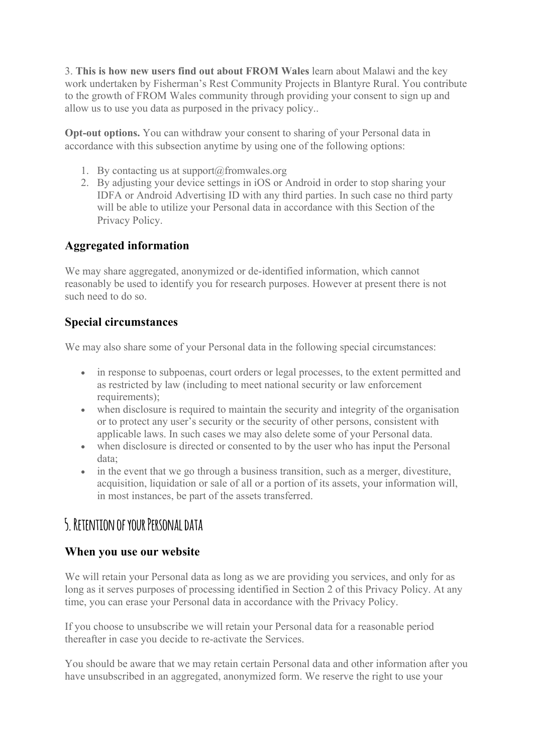3. **This is how new users find out about FROM Wales** learn about Malawi and the key work undertaken by Fisherman's Rest Community Projects in Blantyre Rural. You contribute to the growth of FROM Wales community through providing your consent to sign up and allow us to use you data as purposed in the privacy policy..

**Opt-out options.** You can withdraw your consent to sharing of your Personal data in accordance with this subsection anytime by using one of the following options:

- 1. By contacting us at support $@$ fromwales.org
- 2. By adjusting your device settings in iOS or Android in order to stop sharing your IDFA or Android Advertising ID with any third parties. In such case no third party will be able to utilize your Personal data in accordance with this Section of the Privacy Policy.

### **Aggregated information**

We may share aggregated, anonymized or de-identified information, which cannot reasonably be used to identify you for research purposes. However at present there is not such need to do so.

## **Special circumstances**

We may also share some of your Personal data in the following special circumstances:

- in response to subpoenas, court orders or legal processes, to the extent permitted and as restricted by law (including to meet national security or law enforcement requirements);
- when disclosure is required to maintain the security and integrity of the organisation or to protect any user's security or the security of other persons, consistent with applicable laws. In such cases we may also delete some of your Personal data.
- when disclosure is directed or consented to by the user who has input the Personal data;
- in the event that we go through a business transition, such as a merger, divestiture, acquisition, liquidation or sale of all or a portion of its assets, your information will, in most instances, be part of the assets transferred.

# **5. Retention of your Personal data**

#### **When you use our website**

We will retain your Personal data as long as we are providing you services, and only for as long as it serves purposes of processing identified in Section 2 of this Privacy Policy. At any time, you can erase your Personal data in accordance with the Privacy Policy.

If you choose to unsubscribe we will retain your Personal data for a reasonable period thereafter in case you decide to re-activate the Services.

You should be aware that we may retain certain Personal data and other information after you have unsubscribed in an aggregated, anonymized form. We reserve the right to use your